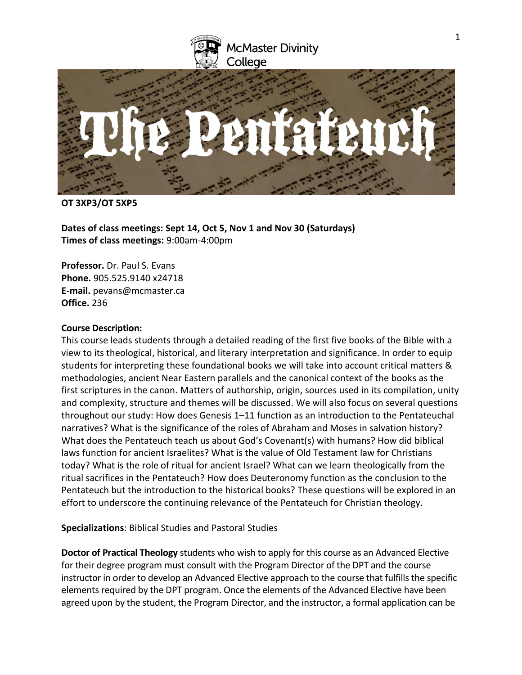

## **OT 3XP3/OT 5XP5**

**Dates of class meetings: Sept 14, Oct 5, Nov 1 and Nov 30 (Saturdays) Times of class meetings:** 9:00am-4:00pm

**Professor.** Dr. Paul S. Evans **Phone.** 905.525.9140 x24718 **E-mail.** pevans@mcmaster.ca **Office.** 236

## **Course Description:**

This course leads students through a detailed reading of the first five books of the Bible with a view to its theological, historical, and literary interpretation and significance. In order to equip students for interpreting these foundational books we will take into account critical matters & methodologies, ancient Near Eastern parallels and the canonical context of the books as the first scriptures in the canon. Matters of authorship, origin, sources used in its compilation, unity and complexity, structure and themes will be discussed. We will also focus on several questions throughout our study: How does Genesis 1–11 function as an introduction to the Pentateuchal narratives? What is the significance of the roles of Abraham and Moses in salvation history? What does the Pentateuch teach us about God's Covenant(s) with humans? How did biblical laws function for ancient Israelites? What is the value of Old Testament law for Christians today? What is the role of ritual for ancient Israel? What can we learn theologically from the ritual sacrifices in the Pentateuch? How does Deuteronomy function as the conclusion to the Pentateuch but the introduction to the historical books? These questions will be explored in an effort to underscore the continuing relevance of the Pentateuch for Christian theology.

**Specializations**: Biblical Studies and Pastoral Studies

**Doctor of Practical Theology** students who wish to apply for this course as an Advanced Elective for their degree program must consult with the Program Director of the DPT and the course instructor in order to develop an Advanced Elective approach to the course that fulfills the specific elements required by the DPT program. Once the elements of the Advanced Elective have been agreed upon by the student, the Program Director, and the instructor, a formal application can be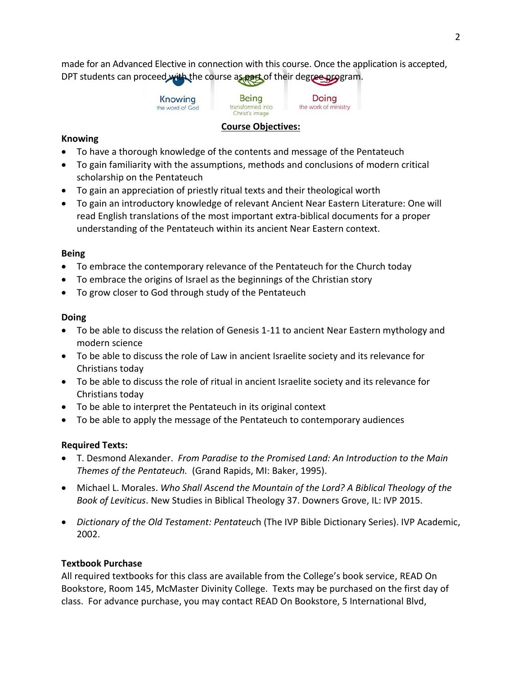made for an Advanced Elective in connection with this course. Once the application is accepted, DPT students can proceed with the course as part of their degree program.

**Being** Doing transformed into the work of ministry Christ's image

## **Course Objectives:**

## **Knowing**

- To have a thorough knowledge of the contents and message of the Pentateuch
- To gain familiarity with the assumptions, methods and conclusions of modern critical scholarship on the Pentateuch
- To gain an appreciation of priestly ritual texts and their theological worth
- To gain an introductory knowledge of relevant Ancient Near Eastern Literature: One will read English translations of the most important extra-biblical documents for a proper understanding of the Pentateuch within its ancient Near Eastern context.

## **Being**

- To embrace the contemporary relevance of the Pentateuch for the Church today
- To embrace the origins of Israel as the beginnings of the Christian story
- To grow closer to God through study of the Pentateuch

## **Doing**

- To be able to discuss the relation of Genesis 1-11 to ancient Near Eastern mythology and modern science
- To be able to discuss the role of Law in ancient Israelite society and its relevance for Christians today
- To be able to discuss the role of ritual in ancient Israelite society and its relevance for Christians today
- To be able to interpret the Pentateuch in its original context
- To be able to apply the message of the Pentateuch to contemporary audiences

# **Required Texts:**

- T. Desmond Alexander. *From Paradise to the Promised Land: An Introduction to the Main Themes of the Pentateuch.* (Grand Rapids, MI: Baker, 1995).
- Michael L. Morales. *Who Shall Ascend the Mountain of the Lord? A Biblical Theology of the Book of Leviticus*. New Studies in Biblical Theology 37. Downers Grove, IL: IVP 2015.
- *Dictionary of the Old Testament: Pentateuc*h (The IVP Bible Dictionary Series). IVP Academic, 2002.

# **Textbook Purchase**

All required textbooks for this class are available from the College's book service, READ On Bookstore, Room 145, McMaster Divinity College. Texts may be purchased on the first day of class. For advance purchase, you may contact READ On Bookstore, 5 International Blvd,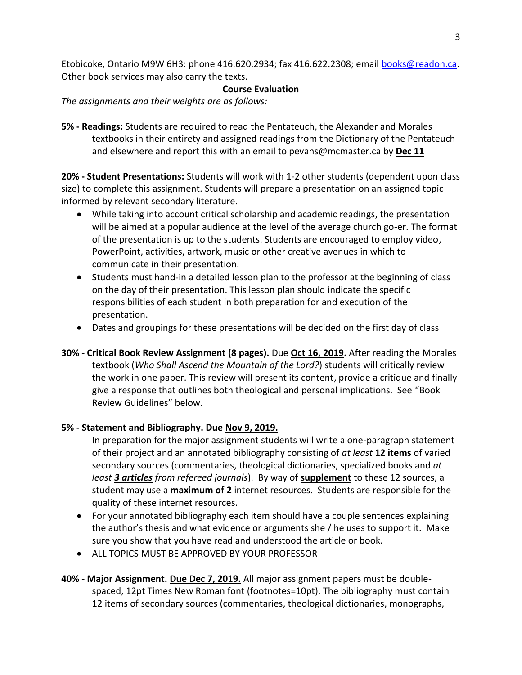Etobicoke, Ontario M9W 6H3: phone 416.620.2934; fax 416.622.2308; email [books@readon.ca.](mailto:books@readon.ca) Other book services may also carry the texts.

## **Course Evaluation**

*The assignments and their weights are as follows:*

**5% - Readings:** Students are required to read the Pentateuch, the Alexander and Morales textbooks in their entirety and assigned readings from the Dictionary of the Pentateuch and elsewhere and report this with an email to pevans@mcmaster.ca by **Dec 11**

**20% - Student Presentations:** Students will work with 1-2 other students (dependent upon class size) to complete this assignment. Students will prepare a presentation on an assigned topic informed by relevant secondary literature.

- While taking into account critical scholarship and academic readings, the presentation will be aimed at a popular audience at the level of the average church go-er. The format of the presentation is up to the students. Students are encouraged to employ video, PowerPoint, activities, artwork, music or other creative avenues in which to communicate in their presentation.
- Students must hand-in a detailed lesson plan to the professor at the beginning of class on the day of their presentation. This lesson plan should indicate the specific responsibilities of each student in both preparation for and execution of the presentation.
- Dates and groupings for these presentations will be decided on the first day of class
- **30% - Critical Book Review Assignment (8 pages).** Due **Oct 16, 2019.** After reading the Morales textbook (*Who Shall Ascend the Mountain of the Lord?*) students will critically review the work in one paper. This review will present its content, provide a critique and finally give a response that outlines both theological and personal implications. See "Book Review Guidelines" below.

# **5% - Statement and Bibliography. Due Nov 9, 2019.**

In preparation for the major assignment students will write a one-paragraph statement of their project and an annotated bibliography consisting of *at least* **12 items** of varied secondary sources (commentaries, theological dictionaries, specialized books and *at least 3 articles from refereed journals*). By way of **supplement** to these 12 sources, a student may use a **maximum of 2** internet resources. Students are responsible for the quality of these internet resources.

- For your annotated bibliography each item should have a couple sentences explaining the author's thesis and what evidence or arguments she / he uses to support it. Make sure you show that you have read and understood the article or book.
- ALL TOPICS MUST BE APPROVED BY YOUR PROFESSOR
- **40% - Major Assignment. Due Dec 7, 2019.** All major assignment papers must be doublespaced, 12pt Times New Roman font (footnotes=10pt). The bibliography must contain 12 items of secondary sources (commentaries, theological dictionaries, monographs,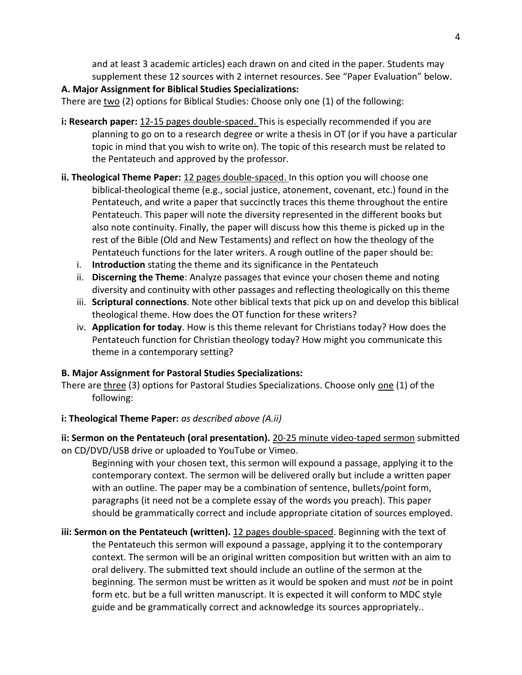and at least 3 academic articles) each drawn on and cited in the paper. Students may supplement these 12 sources with 2 internet resources. See "Paper Evaluation" below.

# **A. Major Assignment for Biblical Studies Specializations:**

There are  $two$  (2) options for Biblical Studies: Choose only one (1) of the following:</u>

- **i: Research paper:** 12-15 pages double-spaced. This is especially recommended if you are planning to go on to a research degree or write a thesis in OT (or if you have a particular topic in mind that you wish to write on). The topic of this research must be related to the Pentateuch and approved by the professor.
- **ii. Theological Theme Paper:** 12 pages double-spaced. In this option you will choose one biblical-theological theme (e.g., social justice, atonement, covenant, etc.) found in the Pentateuch, and write a paper that succinctly traces this theme throughout the entire Pentateuch. This paper will note the diversity represented in the different books but also note continuity. Finally, the paper will discuss how this theme is picked up in the rest of the Bible (Old and New Testaments) and reflect on how the theology of the Pentateuch functions for the later writers. A rough outline of the paper should be:
	- i. **Introduction** stating the theme and its significance in the Pentateuch
	- ii. **Discerning the Theme**: Analyze passages that evince your chosen theme and noting diversity and continuity with other passages and reflecting theologically on this theme
	- iii. **Scriptural connections**. Note other biblical texts that pick up on and develop this biblical theological theme. How does the OT function for these writers?
	- iv. **Application for today**. How is this theme relevant for Christians today? How does the Pentateuch function for Christian theology today? How might you communicate this theme in a contemporary setting?

# **B. Major Assignment for Pastoral Studies Specializations:**

There are three (3) options for Pastoral Studies Specializations. Choose only one (1) of the following:

# **i: Theological Theme Paper:** *as described above (A.ii)*

**ii: Sermon on the Pentateuch (oral presentation).** 20-25 minute video-taped sermon submitted on CD/DVD/USB drive or uploaded to YouTube or Vimeo.

Beginning with your chosen text, this sermon will expound a passage, applying it to the contemporary context. The sermon will be delivered orally but include a written paper with an outline. The paper may be a combination of sentence, bullets/point form, paragraphs (it need not be a complete essay of the words you preach). This paper should be grammatically correct and include appropriate citation of sources employed.

**iii: Sermon on the Pentateuch (written).** 12 pages double-spaced. Beginning with the text of the Pentateuch this sermon will expound a passage, applying it to the contemporary context. The sermon will be an original written composition but written with an aim to oral delivery. The submitted text should include an outline of the sermon at the beginning. The sermon must be written as it would be spoken and must *not* be in point form etc. but be a full written manuscript. It is expected it will conform to MDC style guide and be grammatically correct and acknowledge its sources appropriately..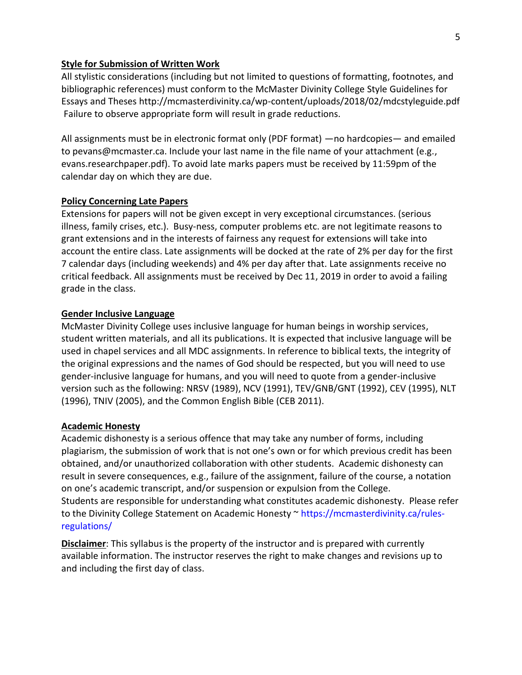#### **Style for Submission of Written Work**

All stylistic considerations (including but not limited to questions of formatting, footnotes, and bibliographic references) must conform to the McMaster Divinity College Style Guidelines for Essays and Theses http://mcmasterdivinity.ca/wp-content/uploads/2018/02/mdcstyleguide.pdf Failure to observe appropriate form will result in grade reductions.

All assignments must be in electronic format only (PDF format) —no hardcopies— and emailed to pevans@mcmaster.ca. Include your last name in the file name of your attachment (e.g., evans.researchpaper.pdf). To avoid late marks papers must be received by 11:59pm of the calendar day on which they are due.

#### **Policy Concerning Late Papers**

Extensions for papers will not be given except in very exceptional circumstances. (serious illness, family crises, etc.). Busy-ness, computer problems etc. are not legitimate reasons to grant extensions and in the interests of fairness any request for extensions will take into account the entire class. Late assignments will be docked at the rate of 2% per day for the first 7 calendar days (including weekends) and 4% per day after that. Late assignments receive no critical feedback. All assignments must be received by Dec 11, 2019 in order to avoid a failing grade in the class.

### **Gender Inclusive Language**

McMaster Divinity College uses inclusive language for human beings in worship services, student written materials, and all its publications. It is expected that inclusive language will be used in chapel services and all MDC assignments. In reference to biblical texts, the integrity of the original expressions and the names of God should be respected, but you will need to use gender-inclusive language for humans, and you will need to quote from a gender-inclusive version such as the following: NRSV (1989), NCV (1991), TEV/GNB/GNT (1992), CEV (1995), NLT (1996), TNIV (2005), and the Common English Bible (CEB 2011).

### **Academic Honesty**

Academic dishonesty is a serious offence that may take any number of forms, including plagiarism, the submission of work that is not one's own or for which previous credit has been obtained, and/or unauthorized collaboration with other students. Academic dishonesty can result in severe consequences, e.g., failure of the assignment, failure of the course, a notation on one's academic transcript, and/or suspension or expulsion from the College. Students are responsible for understanding what constitutes academic dishonesty. Please refer to the Divinity College Statement on Academic Honesty ~ [https://mcmasterdivinity.ca/rules](https://mcmasterdivinity.ca/rules-regulations/)[regulations/](https://mcmasterdivinity.ca/rules-regulations/)

**Disclaimer**: This syllabus is the property of the instructor and is prepared with currently available information. The instructor reserves the right to make changes and revisions up to and including the first day of class.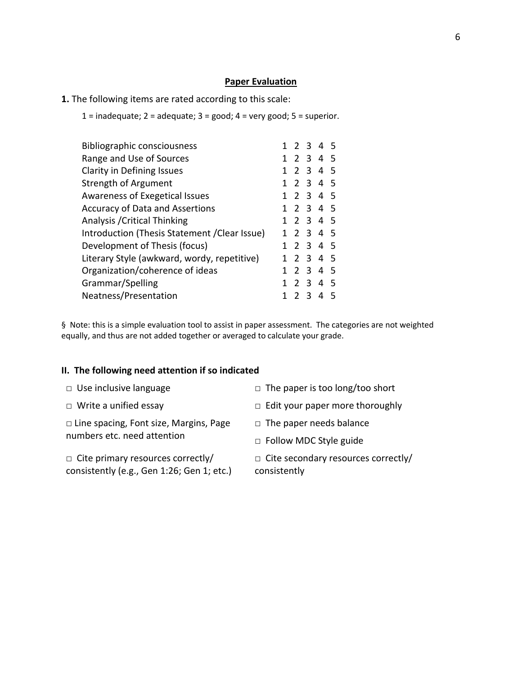### **Paper Evaluation**

- **1.** The following items are rated according to this scale:
	- 1 = inadequate;  $2$  = adequate;  $3$  = good;  $4$  = very good;  $5$  = superior.

| <b>Bibliographic consciousness</b>            |  |   | 1 2 3 4 5      |  |
|-----------------------------------------------|--|---|----------------|--|
| Range and Use of Sources                      |  |   | 1 2 3 4 5      |  |
| Clarity in Defining Issues                    |  |   | 1 2 3 4 5      |  |
| Strength of Argument                          |  |   | 1 2 3 4 5      |  |
| Awareness of Exegetical Issues                |  |   | 1 2 3 4 5      |  |
| <b>Accuracy of Data and Assertions</b>        |  |   | 1 2 3 4 5      |  |
| Analysis / Critical Thinking                  |  |   | 1 2 3 4 5      |  |
| Introduction (Thesis Statement / Clear Issue) |  |   | 1 2 3 4 5      |  |
| Development of Thesis (focus)                 |  |   | 1 2 3 4 5      |  |
| Literary Style (awkward, wordy, repetitive)   |  |   | 1 2 3 4 5      |  |
| Organization/coherence of ideas               |  |   | 1 2 3 4 5      |  |
| Grammar/Spelling                              |  |   | 1 2 3 4 5      |  |
| Neatness/Presentation                         |  | 3 | $\overline{4}$ |  |

§ Note: this is a simple evaluation tool to assist in paper assessment. The categories are not weighted equally, and thus are not added together or averaged to calculate your grade.

## **II. The following need attention if so indicated**

- 
- 

□ Line spacing, Font size, Margins, Page numbers etc. need attention

□ Cite primary resources correctly/ consistently (e.g., Gen 1:26; Gen 1; etc.)

- □ Use inclusive language □ □ The paper is too long/too short
- □ Write a unified essay □ □ Edit your paper more thoroughly
	- □ The paper needs balance
	- □ Follow MDC Style guide

□ Cite secondary resources correctly/ consistently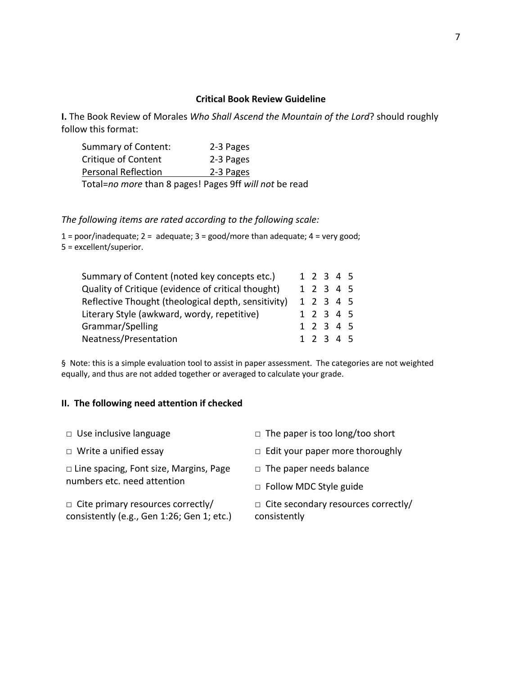## **Critical Book Review Guideline**

**I.** The Book Review of Morales *Who Shall Ascend the Mountain of the Lord*? should roughly follow this format:

| Summary of Content:        | 2-3 Pages |
|----------------------------|-----------|
| Critique of Content        | 2-3 Pages |
| <b>Personal Reflection</b> | 2-3 Pages |
|                            |           |

Total=*no more* than 8 pages! Pages 9ff *will not* be read

*The following items are rated according to the following scale:* 

 $1 = poor/inadequate; 2 = adequate; 3 = good/more than adequate; 4 = very good;$ 5 = excellent/superior.

| Summary of Content (noted key concepts etc.)        |  |  | 1 2 3 4 5 |  |
|-----------------------------------------------------|--|--|-----------|--|
| Quality of Critique (evidence of critical thought)  |  |  | 1 2 3 4 5 |  |
| Reflective Thought (theological depth, sensitivity) |  |  | 1 2 3 4 5 |  |
| Literary Style (awkward, wordy, repetitive)         |  |  | 1 2 3 4 5 |  |
| Grammar/Spelling                                    |  |  | 1 2 3 4 5 |  |
| Neatness/Presentation                               |  |  | 1 2 3 4 5 |  |

§ Note: this is a simple evaluation tool to assist in paper assessment. The categories are not weighted equally, and thus are not added together or averaged to calculate your grade.

## **II. The following need attention if checked**

| $\Box$ Use inclusive language                                                          | $\Box$ The paper is too long/too short                     |  |  |
|----------------------------------------------------------------------------------------|------------------------------------------------------------|--|--|
| $\Box$ Write a unified essay                                                           | $\Box$ Edit your paper more thoroughly                     |  |  |
| $\Box$ Line spacing, Font size, Margins, Page<br>numbers etc. need attention           | $\Box$ The paper needs balance                             |  |  |
|                                                                                        | $\Box$ Follow MDC Style guide                              |  |  |
| $\Box$ Cite primary resources correctly/<br>consistently (e.g., Gen 1:26; Gen 1; etc.) | $\Box$ Cite secondary resources correctly/<br>consistently |  |  |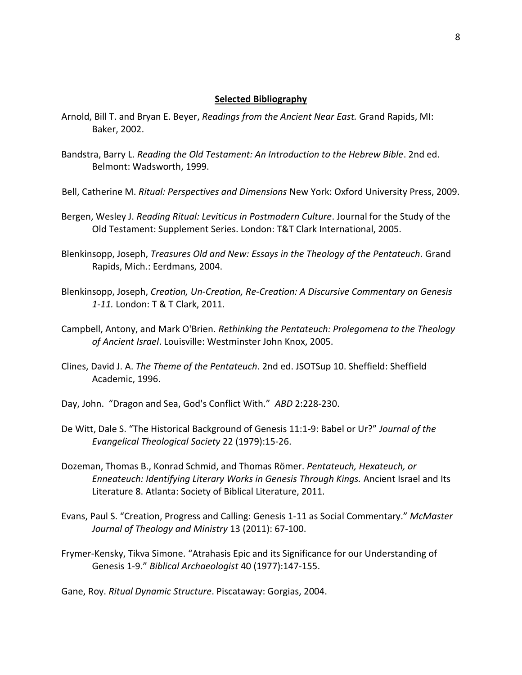#### **Selected Bibliography**

- Arnold, Bill T. and Bryan E. Beyer, *Readings from the Ancient Near East.* Grand Rapids, MI: Baker, 2002.
- Bandstra, Barry L. *Reading the Old Testament: An Introduction to the Hebrew Bible*. 2nd ed. Belmont: Wadsworth, 1999.
- Bell, Catherine M. *Ritual: Perspectives and Dimensions* New York: Oxford University Press, 2009.
- Bergen, Wesley J. *Reading Ritual: Leviticus in Postmodern Culture*. Journal for the Study of the Old Testament: Supplement Series. London: T&T Clark International, 2005.
- Blenkinsopp, Joseph, *Treasures Old and New: Essays in the Theology of the Pentateuch.* Grand Rapids, Mich.: Eerdmans, 2004.
- Blenkinsopp, Joseph, *Creation, Un-Creation, Re-Creation: A Discursive Commentary on Genesis 1-11.* London: T & T Clark, 2011.
- Campbell, Antony, and Mark O'Brien. *Rethinking the Pentateuch: Prolegomena to the Theology of Ancient Israel*. Louisville: Westminster John Knox, 2005.
- Clines, David J. A. *The Theme of the Pentateuch*. 2nd ed. JSOTSup 10. Sheffield: Sheffield Academic, 1996.
- Day, John. "Dragon and Sea, God's Conflict With." *ABD* 2:228-230.
- De Witt, Dale S. "The Historical Background of Genesis 11:1-9: Babel or Ur?" *Journal of the Evangelical Theological Society* 22 (1979):15-26.
- Dozeman, Thomas B., Konrad Schmid, and Thomas Römer. *Pentateuch, Hexateuch, or Enneateuch: Identifying Literary Works in Genesis Through Kings.* Ancient Israel and Its Literature 8. Atlanta: Society of Biblical Literature, 2011.
- Evans, Paul S. "Creation, Progress and Calling: Genesis 1-11 as Social Commentary." *McMaster Journal of Theology and Ministry* 13 (2011): 67-100.
- Frymer-Kensky, Tikva Simone. "Atrahasis Epic and its Significance for our Understanding of Genesis 1-9." *Biblical Archaeologist* 40 (1977):147-155.

Gane, Roy. *Ritual Dynamic Structure*. Piscataway: Gorgias, 2004.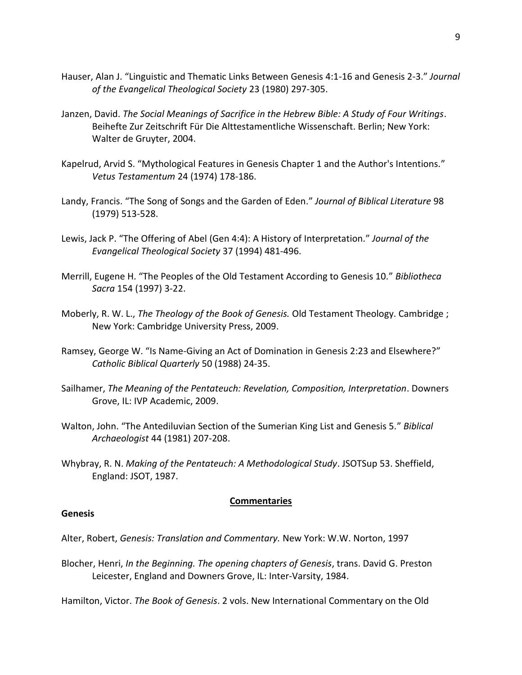- Hauser, Alan J. "Linguistic and Thematic Links Between Genesis 4:1-16 and Genesis 2-3." *Journal of the Evangelical Theological Society* 23 (1980) 297-305.
- Janzen, David. *The Social Meanings of Sacrifice in the Hebrew Bible: A Study of Four Writings*. Beihefte Zur Zeitschrift Für Die Alttestamentliche Wissenschaft. Berlin; New York: Walter de Gruyter, 2004.
- Kapelrud, Arvid S. "Mythological Features in Genesis Chapter 1 and the Author's Intentions." *Vetus Testamentum* 24 (1974) 178-186.
- Landy, Francis. "The Song of Songs and the Garden of Eden." *Journal of Biblical Literature* 98 (1979) 513-528.
- Lewis, Jack P. "The Offering of Abel (Gen 4:4): A History of Interpretation." *Journal of the Evangelical Theological Society* 37 (1994) 481-496.
- Merrill, Eugene H. "The Peoples of the Old Testament According to Genesis 10." *Bibliotheca Sacra* 154 (1997) 3-22.
- Moberly, R. W. L., *The Theology of the Book of Genesis.* Old Testament Theology. Cambridge ; New York: Cambridge University Press, 2009.
- Ramsey, George W. "Is Name-Giving an Act of Domination in Genesis 2:23 and Elsewhere?" *Catholic Biblical Quarterly* 50 (1988) 24-35.
- Sailhamer, *The Meaning of the Pentateuch: Revelation, Composition, Interpretation*. Downers Grove, IL: IVP Academic, 2009.
- Walton, John. "The Antediluvian Section of the Sumerian King List and Genesis 5." *Biblical Archaeologist* 44 (1981) 207-208.
- Whybray, R. N. *Making of the Pentateuch: A Methodological Study*. JSOTSup 53. Sheffield, England: JSOT, 1987.

### **Commentaries**

### **Genesis**

- Alter, Robert, *Genesis: Translation and Commentary.* New York: W.W. Norton, 1997
- Blocher, Henri, *In the Beginning. The opening chapters of Genesis*, trans. David G. Preston Leicester, England and Downers Grove, IL: Inter-Varsity, 1984.

Hamilton, Victor. *The Book of Genesis*. 2 vols. New International Commentary on the Old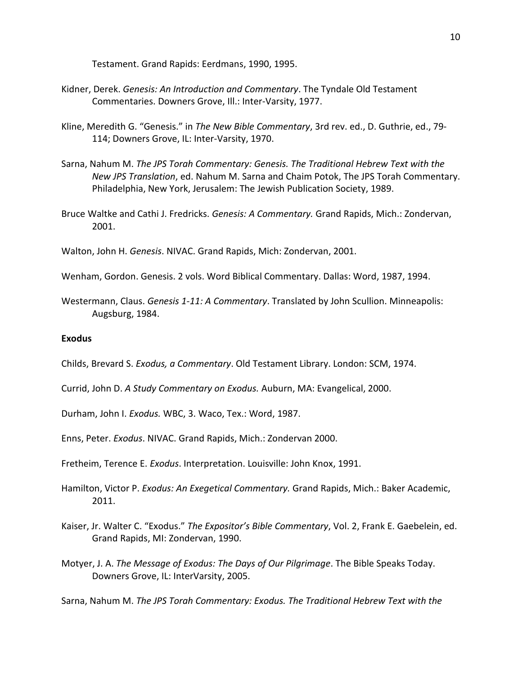Testament. Grand Rapids: Eerdmans, 1990, 1995.

- Kidner, Derek. *Genesis: An Introduction and Commentary*. The Tyndale Old Testament Commentaries. Downers Grove, Ill.: Inter-Varsity, 1977.
- Kline, Meredith G. "Genesis." in *The New Bible Commentary*, 3rd rev. ed., D. Guthrie, ed., 79- 114; Downers Grove, IL: Inter-Varsity, 1970.
- Sarna, Nahum M. *The JPS Torah Commentary: Genesis. The Traditional Hebrew Text with the New JPS Translation*, ed. Nahum M. Sarna and Chaim Potok, The JPS Torah Commentary. Philadelphia, New York, Jerusalem: The Jewish Publication Society, 1989.
- Bruce Waltke and Cathi J. Fredricks. *Genesis: A Commentary.* Grand Rapids, Mich.: Zondervan, 2001.

Walton, John H. *Genesis*. NIVAC. Grand Rapids, Mich: Zondervan, 2001.

- Wenham, Gordon. Genesis. 2 vols. Word Biblical Commentary. Dallas: Word, 1987, 1994.
- Westermann, Claus. *Genesis 1-11: A Commentary*. Translated by John Scullion. Minneapolis: Augsburg, 1984.

#### **Exodus**

- Childs, Brevard S. *Exodus, a Commentary*. Old Testament Library. London: SCM, 1974.
- Currid, John D. *A Study Commentary on Exodus.* Auburn, MA: Evangelical, 2000.
- Durham, John I. *Exodus.* WBC, 3. Waco, Tex.: Word, 1987.
- Enns, Peter. *Exodus*. NIVAC. Grand Rapids, Mich.: Zondervan 2000.
- Fretheim, Terence E. *Exodus*. Interpretation. Louisville: John Knox, 1991.
- Hamilton, Victor P. *Exodus: An Exegetical Commentary.* Grand Rapids, Mich.: Baker Academic, 2011.
- Kaiser, Jr. Walter C. "Exodus." *The Expositor's Bible Commentary*, Vol. 2, Frank E. Gaebelein, ed. Grand Rapids, MI: Zondervan, 1990.
- Motyer, J. A. *The Message of Exodus: The Days of Our Pilgrimage*. The Bible Speaks Today. Downers Grove, IL: InterVarsity, 2005.

Sarna, Nahum M. *The JPS Torah Commentary: Exodus. The Traditional Hebrew Text with the*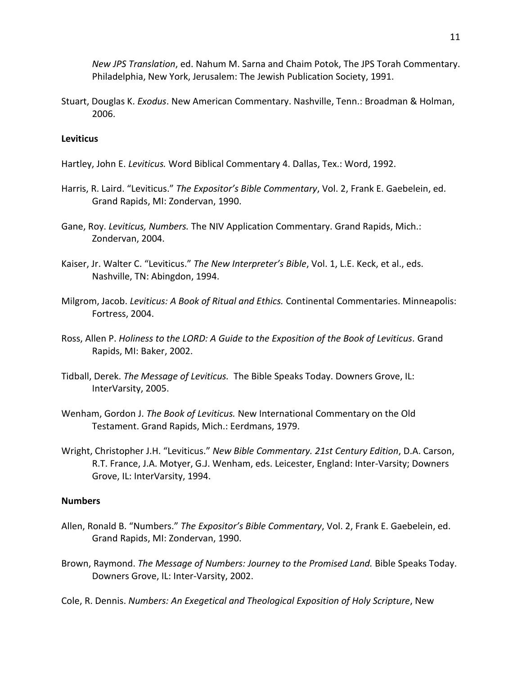*New JPS Translation*, ed. Nahum M. Sarna and Chaim Potok, The JPS Torah Commentary. Philadelphia, New York, Jerusalem: The Jewish Publication Society, 1991.

Stuart, Douglas K. *Exodus*. New American Commentary. Nashville, Tenn.: Broadman & Holman, 2006.

## **Leviticus**

- Hartley, John E. *Leviticus.* Word Biblical Commentary 4. Dallas, Tex.: Word, 1992.
- Harris, R. Laird. "Leviticus." *The Expositor's Bible Commentary*, Vol. 2, Frank E. Gaebelein, ed. Grand Rapids, MI: Zondervan, 1990.
- Gane, Roy. *Leviticus, Numbers.* The NIV Application Commentary. Grand Rapids, Mich.: Zondervan, 2004.
- Kaiser, Jr. Walter C. "Leviticus." *The New Interpreter's Bible*, Vol. 1, L.E. Keck, et al., eds. Nashville, TN: Abingdon, 1994.
- Milgrom, Jacob. *Leviticus: A Book of Ritual and Ethics.* Continental Commentaries. Minneapolis: Fortress, 2004.
- Ross, Allen P. *Holiness to the LORD: A Guide to the Exposition of the Book of Leviticus.* Grand Rapids, MI: Baker, 2002.
- Tidball, Derek. *The Message of Leviticus.* The Bible Speaks Today. Downers Grove, IL: InterVarsity, 2005.
- Wenham, Gordon J. *The Book of Leviticus.* New International Commentary on the Old Testament. Grand Rapids, Mich.: Eerdmans, 1979.
- Wright, Christopher J.H. "Leviticus." *New Bible Commentary. 21st Century Edition*, D.A. Carson, R.T. France, J.A. Motyer, G.J. Wenham, eds. Leicester, England: Inter-Varsity; Downers Grove, IL: InterVarsity, 1994.

### **Numbers**

- Allen, Ronald B. "Numbers." *The Expositor's Bible Commentary*, Vol. 2, Frank E. Gaebelein, ed. Grand Rapids, MI: Zondervan, 1990.
- Brown, Raymond. *The Message of Numbers: Journey to the Promised Land.* Bible Speaks Today. Downers Grove, IL: Inter-Varsity, 2002.
- Cole, R. Dennis. *Numbers: An Exegetical and Theological Exposition of Holy Scripture*, New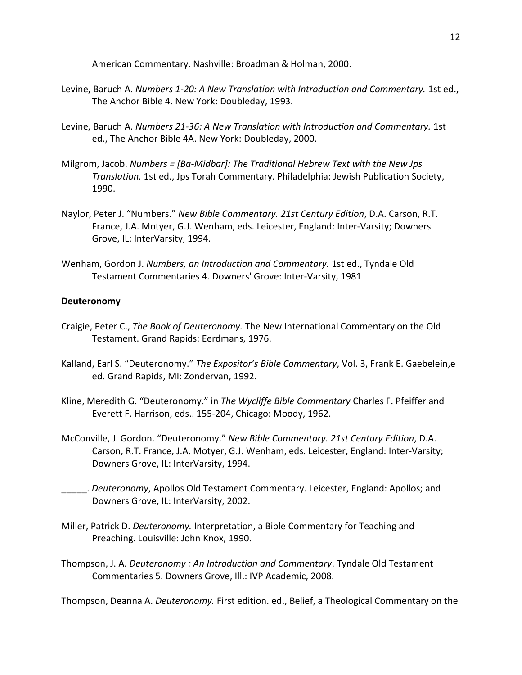American Commentary. Nashville: Broadman & Holman, 2000.

- Levine, Baruch A. *Numbers 1-20: A New Translation with Introduction and Commentary.* 1st ed., The Anchor Bible 4. New York: Doubleday, 1993.
- Levine, Baruch A. *Numbers 21-36: A New Translation with Introduction and Commentary.* 1st ed., The Anchor Bible 4A. New York: Doubleday, 2000.
- Milgrom, Jacob. *Numbers = [Ba-Midbar]: The Traditional Hebrew Text with the New Jps Translation.* 1st ed., Jps Torah Commentary. Philadelphia: Jewish Publication Society, 1990.
- Naylor, Peter J. "Numbers." *New Bible Commentary. 21st Century Edition*, D.A. Carson, R.T. France, J.A. Motyer, G.J. Wenham, eds. Leicester, England: Inter-Varsity; Downers Grove, IL: InterVarsity, 1994.
- Wenham, Gordon J. *Numbers, an Introduction and Commentary.* 1st ed., Tyndale Old Testament Commentaries 4. Downers' Grove: Inter-Varsity, 1981

#### **Deuteronomy**

- Craigie, Peter C., *The Book of Deuteronomy.* The New International Commentary on the Old Testament. Grand Rapids: Eerdmans, 1976.
- Kalland, Earl S. "Deuteronomy." *The Expositor's Bible Commentary*, Vol. 3, Frank E. Gaebelein,e ed. Grand Rapids, MI: Zondervan, 1992.
- Kline, Meredith G. "Deuteronomy." in *The Wycliffe Bible Commentary* Charles F. Pfeiffer and Everett F. Harrison, eds.. 155-204, Chicago: Moody, 1962.
- McConville, J. Gordon. "Deuteronomy." *New Bible Commentary. 21st Century Edition*, D.A. Carson, R.T. France, J.A. Motyer, G.J. Wenham, eds. Leicester, England: Inter-Varsity; Downers Grove, IL: InterVarsity, 1994.
	- \_\_\_\_\_. *Deuteronomy*, Apollos Old Testament Commentary. Leicester, England: Apollos; and Downers Grove, IL: InterVarsity, 2002.
- Miller, Patrick D. *Deuteronomy.* Interpretation, a Bible Commentary for Teaching and Preaching. Louisville: John Knox, 1990.
- Thompson, J. A. *Deuteronomy : An Introduction and Commentary*. Tyndale Old Testament Commentaries 5. Downers Grove, Ill.: IVP Academic, 2008.

Thompson, Deanna A. *Deuteronomy.* First edition. ed., Belief, a Theological Commentary on the